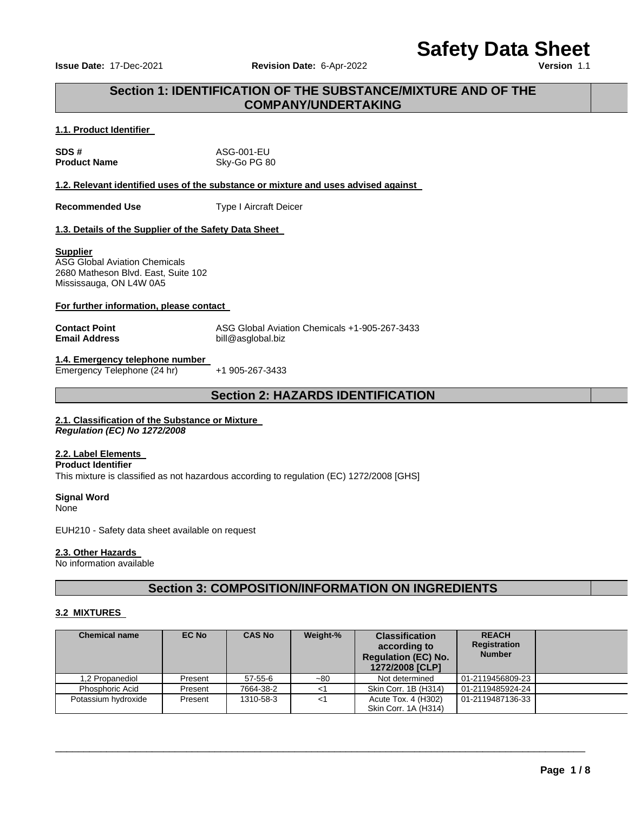**Issue Date: 17-Dec-2021 Revision Date: 6-Apr-2022** 

# **Safety Data Sheet**

# **Section 1: IDENTIFICATION OF THE SUBSTANCE/MIXTURE AND OF THE COMPANY/UNDERTAKING**

#### **1.1. Product Identifier**

| SDS#                | ASG-001-EU   |
|---------------------|--------------|
| <b>Product Name</b> | Sky-Go PG 80 |

**1.2. Relevant identified uses of the substance or mixture and uses advised against** 

**Recommended Use Type I Aircraft Deicer** 

#### **1.3. Details of the Supplier of the Safety Data Sheet**

#### **Supplier**

ASG Global Aviation Chemicals 2680 Matheson Blvd. East, Suite 102 Mississauga, ON L4W 0A5

#### **For further information, please contact**

**Contact Point ASG Global Aviation Chemicals +1-905-267-3433**<br> **Email Address Address Alta Buil**@asglobal.biz **Email Address** bill@asglobal.biz

#### **1.4. Emergency telephone number**  Emergency Telephone (24 hr) +1 905-267-3433

# **Section 2: HAZARDS IDENTIFICATION**

# **2.1. Classification of the Substance or Mixture**

*Regulation (EC) No 1272/2008* 

# **2.2. Label Elements**

#### **Product Identifier**

This mixture is classified as not hazardous according to regulation (EC) 1272/2008 [GHS]

# **Signal Word**

None

EUH210 - Safety data sheet available on request

#### **2.3. Other Hazards**

No information available

# **Section 3: COMPOSITION/INFORMATION ON INGREDIENTS**

#### **3.2 MIXTURES**

| <b>Chemical name</b> | EC No   | <b>CAS No</b> | Weight-% | <b>Classification</b><br>according to<br><b>Regulation (EC) No.</b><br>1272/2008 [CLP] | <b>REACH</b><br><b>Registration</b><br><b>Number</b> |  |
|----------------------|---------|---------------|----------|----------------------------------------------------------------------------------------|------------------------------------------------------|--|
| 1,2 Propanediol      | Present | 57-55-6       | $-80$    | Not determined                                                                         | 01-2119456809-23                                     |  |
| Phosphoric Acid      | Present | 7664-38-2     |          | Skin Corr. 1B (H314)                                                                   | 01-2119485924-24                                     |  |
| Potassium hydroxide  | Present | 1310-58-3     | <1       | Acute Tox. 4 (H302)<br>Skin Corr. 1A (H314)                                            | 01-2119487136-33                                     |  |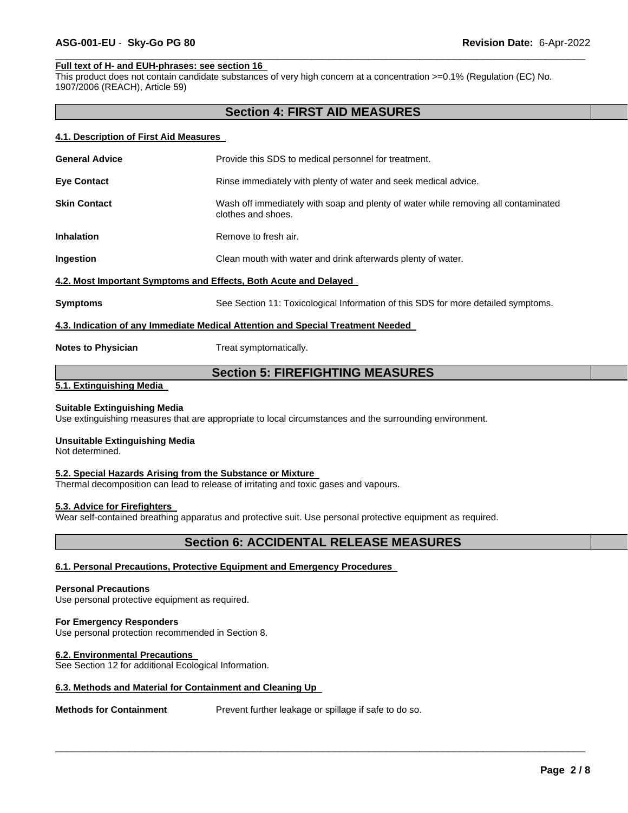#### **Full text of H- and EUH-phrases: see section 16**

This product does not contain candidate substances of very high concern at a concentration >=0.1% (Regulation (EC) No. 1907/2006 (REACH), Article 59)

# **Section 4: FIRST AID MEASURES**

\_\_\_\_\_\_\_\_\_\_\_\_\_\_\_\_\_\_\_\_\_\_\_\_\_\_\_\_\_\_\_\_\_\_\_\_\_\_\_\_\_\_\_\_\_\_\_\_\_\_\_\_\_\_\_\_\_\_\_\_\_\_\_\_\_\_\_\_\_\_\_\_\_\_\_\_\_\_\_\_\_\_\_\_\_\_\_\_\_\_\_\_\_

#### **4.1. Description of First Aid Measures**

| <b>General Advice</b>                                            | Provide this SDS to medical personnel for treatment.                                                     |  |
|------------------------------------------------------------------|----------------------------------------------------------------------------------------------------------|--|
| <b>Eye Contact</b>                                               | Rinse immediately with plenty of water and seek medical advice.                                          |  |
| <b>Skin Contact</b>                                              | Wash off immediately with soap and plenty of water while removing all contaminated<br>clothes and shoes. |  |
| <b>Inhalation</b>                                                | Remove to fresh air.                                                                                     |  |
| Ingestion                                                        | Clean mouth with water and drink afterwards plenty of water.                                             |  |
| 4.2. Most Important Symptoms and Effects, Both Acute and Delayed |                                                                                                          |  |
| <b>Symptoms</b>                                                  | See Section 11: Toxicological Information of this SDS for more detailed symptoms.                        |  |
|                                                                  | 4.3. Indication of any Immediate Medical Attention and Special Treatment Needed                          |  |
| <b>Notes to Physician</b>                                        | Treat symptomatically.                                                                                   |  |

# **Section 5: FIREFIGHTING MEASURES**

#### **5.1. Extinguishing Media**

#### **Suitable Extinguishing Media**

Use extinguishing measures that are appropriate to local circumstances and the surrounding environment.

#### **Unsuitable Extinguishing Media**

Not determined.

#### **5.2. Special Hazards Arising from the Substance or Mixture**

Thermal decomposition can lead to release of irritating and toxic gases and vapours.

#### **5.3. Advice for Firefighters**

Wear self-contained breathing apparatus and protective suit. Use personal protective equipment as required.

# **Section 6: ACCIDENTAL RELEASE MEASURES**

#### **6.1. Personal Precautions, Protective Equipment and Emergency Procedures**

#### **Personal Precautions**

Use personal protective equipment as required.

# **For Emergency Responders**

Use personal protection recommended in Section 8.

#### **6.2. Environmental Precautions**

See Section 12 for additional Ecological Information.

#### **6.3. Methods and Material for Containment and Cleaning Up**

**Methods for Containment** Prevent further leakage or spillage if safe to do so.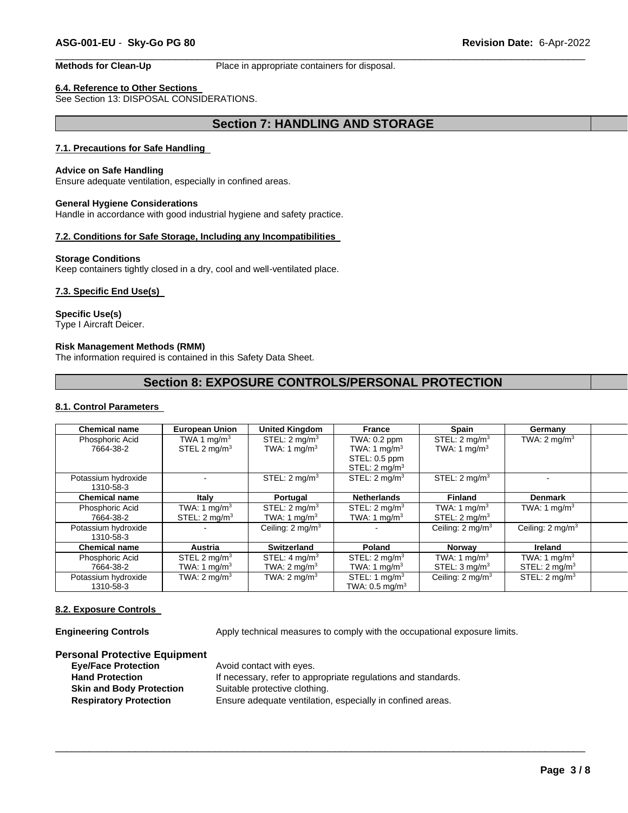**Methods for Clean-Up** Place in appropriate containers for disposal.

# **6.4. Reference to Other Sections**

See Section 13: DISPOSAL CONSIDERATIONS.

# **Section 7: HANDLING AND STORAGE**

\_\_\_\_\_\_\_\_\_\_\_\_\_\_\_\_\_\_\_\_\_\_\_\_\_\_\_\_\_\_\_\_\_\_\_\_\_\_\_\_\_\_\_\_\_\_\_\_\_\_\_\_\_\_\_\_\_\_\_\_\_\_\_\_\_\_\_\_\_\_\_\_\_\_\_\_\_\_\_\_\_\_\_\_\_\_\_\_\_\_\_\_\_

#### **7.1. Precautions for Safe Handling**

#### **Advice on Safe Handling**

Ensure adequate ventilation, especially in confined areas.

#### **General Hygiene Considerations**

Handle in accordance with good industrial hygiene and safety practice.

#### **7.2. Conditions for Safe Storage, Including any Incompatibilities**

#### **Storage Conditions**

Keep containers tightly closed in a dry, cool and well-ventilated place.

#### **7.3. Specific End Use(s)**

#### **Specific Use(s)**

Type I Aircraft Deicer.

#### **Risk Management Methods (RMM)**

The information required is contained in this Safety Data Sheet.

# **Section 8: EXPOSURE CONTROLS/PERSONAL PROTECTION**

#### **8.1. Control Parameters**

| <b>Chemical name</b>             | <b>European Union</b>                                | <b>United Kingdom</b>                                | <b>France</b>                                                               | <b>Spain</b>                                         | Germany                                              |  |
|----------------------------------|------------------------------------------------------|------------------------------------------------------|-----------------------------------------------------------------------------|------------------------------------------------------|------------------------------------------------------|--|
| Phosphoric Acid<br>7664-38-2     | TWA 1 $mq/m3$<br>STEL 2 $mq/m3$                      | STEL: $2 \text{ mq/m}^3$<br>TWA: 1 mg/m <sup>3</sup> | TWA: 0.2 ppm<br>TWA: 1 $mq/m3$<br>STEL: 0.5 ppm<br>STEL: $2 \text{ mq/m}^3$ | STEL: $2 \text{ mq/m}^3$<br>TWA: 1 $mq/m3$           | TWA: $2 \text{ mg/m}^3$                              |  |
| Potassium hydroxide<br>1310-58-3 |                                                      | STEL: $2 \text{ mq/m}^3$                             | STEL: $2 \text{ mq/m}^3$                                                    | STEL: $2 \text{ mq/m}^3$                             |                                                      |  |
| <b>Chemical name</b>             | Italy                                                | Portugal                                             | <b>Netherlands</b>                                                          | <b>Finland</b>                                       | <b>Denmark</b>                                       |  |
| Phosphoric Acid<br>7664-38-2     | TWA: 1 mg/m <sup>3</sup><br>STEL: $2 \text{ mq/m}^3$ | STEL: $2 \text{ mq/m}^3$<br>TWA: 1 mg/m <sup>3</sup> | STEL: $2 \text{ mq/m}^3$<br>TWA: 1 mg/ $m3$                                 | TWA: 1 mg/m <sup>3</sup><br>STEL: $2 \text{ mq/m}^3$ | TWA: 1 mg/m <sup>3</sup>                             |  |
| Potassium hydroxide<br>1310-58-3 |                                                      | Ceiling: $2 \text{ mq/m}^3$                          |                                                                             | Ceiling: $2 \text{ mq/m}^3$                          | Ceiling: $2 \text{ mq/m}^3$                          |  |
| <b>Chemical name</b>             | Austria                                              | <b>Switzerland</b>                                   | Poland                                                                      | <b>Norway</b>                                        | <b>Ireland</b>                                       |  |
| Phosphoric Acid<br>7664-38-2     | STEL 2 mg/m <sup>3</sup><br>TWA: 1 mg/m <sup>3</sup> | STEL: $4 \text{ mq/m}^3$<br>TWA: $2 \text{ mq/m}^3$  | STEL: $2 \text{ mq/m}^3$<br>TWA: 1 mg/m <sup>3</sup>                        | TWA: 1 mg/m <sup>3</sup><br>STEL: $3 \text{ mq/m}^3$ | TWA: 1 mg/m <sup>3</sup><br>STEL: $2 \text{ mq/m}^3$ |  |
| Potassium hydroxide<br>1310-58-3 | TWA: $2 \text{ mq/m}^3$                              | TWA: $2 \text{ mq/m}^3$                              | STEL: 1 mg/m <sup>3</sup><br>TWA: $0.5$ mg/m <sup>3</sup>                   | Ceiling: $2 \text{ mq/m}^3$                          | STEL: $2 \text{ mq/m}^3$                             |  |

\_\_\_\_\_\_\_\_\_\_\_\_\_\_\_\_\_\_\_\_\_\_\_\_\_\_\_\_\_\_\_\_\_\_\_\_\_\_\_\_\_\_\_\_\_\_\_\_\_\_\_\_\_\_\_\_\_\_\_\_\_\_\_\_\_\_\_\_\_\_\_\_\_\_\_\_\_\_\_\_\_\_\_\_\_\_\_\_\_\_\_\_\_

#### **8.2. Exposure Controls**

**Engineering Controls** Apply technical measures to comply with the occupational exposure limits.

#### **Personal Protective Equipment**

| Avoid contact with eyes.                                      |
|---------------------------------------------------------------|
| If necessary, refer to appropriate regulations and standards. |
| Suitable protective clothing.                                 |
| Ensure adequate ventilation, especially in confined areas.    |
|                                                               |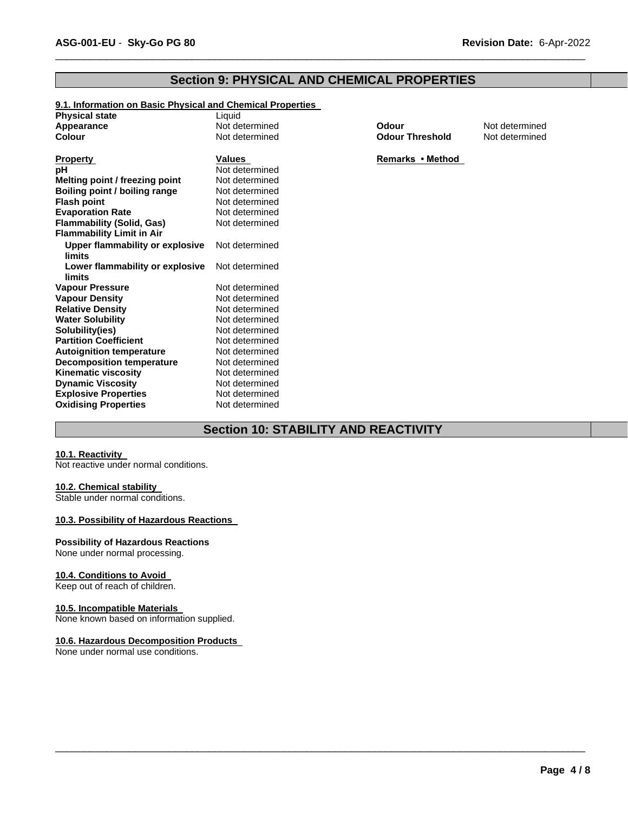# **Section 9: PHYSICAL AND CHEMICAL PROPERTIES**

\_\_\_\_\_\_\_\_\_\_\_\_\_\_\_\_\_\_\_\_\_\_\_\_\_\_\_\_\_\_\_\_\_\_\_\_\_\_\_\_\_\_\_\_\_\_\_\_\_\_\_\_\_\_\_\_\_\_\_\_\_\_\_\_\_\_\_\_\_\_\_\_\_\_\_\_\_\_\_\_\_\_\_\_\_\_\_\_\_\_\_\_\_

#### **9.1. Information on Basic Physical and Chemical Properties**

| <b>Physical state</b>                     | Liquid         |                        |                |
|-------------------------------------------|----------------|------------------------|----------------|
| Appearance                                | Not determined | Odour                  | Not determined |
| <b>Colour</b>                             | Not determined | <b>Odour Threshold</b> | Not determined |
| Property                                  | Values         | Remarks • Method       |                |
| рH                                        | Not determined |                        |                |
| Melting point / freezing point            | Not determined |                        |                |
| Boiling point / boiling range             | Not determined |                        |                |
| <b>Flash point</b>                        | Not determined |                        |                |
| <b>Evaporation Rate</b>                   | Not determined |                        |                |
| <b>Flammability (Solid, Gas)</b>          | Not determined |                        |                |
| <b>Flammability Limit in Air</b>          |                |                        |                |
| Upper flammability or explosive<br>limits | Not determined |                        |                |
| Lower flammability or explosive<br>limits | Not determined |                        |                |
| <b>Vapour Pressure</b>                    | Not determined |                        |                |
| <b>Vapour Density</b>                     | Not determined |                        |                |
| <b>Relative Density</b>                   | Not determined |                        |                |
| <b>Water Solubility</b>                   | Not determined |                        |                |
| Solubility(ies)                           | Not determined |                        |                |
| <b>Partition Coefficient</b>              | Not determined |                        |                |
| <b>Autoignition temperature</b>           | Not determined |                        |                |
| <b>Decomposition temperature</b>          | Not determined |                        |                |
| <b>Kinematic viscosity</b>                | Not determined |                        |                |
| <b>Dynamic Viscosity</b>                  | Not determined |                        |                |
| <b>Explosive Properties</b>               | Not determined |                        |                |
| <b>Oxidising Properties</b>               | Not determined |                        |                |

# **Section 10: STABILITY AND REACTIVITY**

\_\_\_\_\_\_\_\_\_\_\_\_\_\_\_\_\_\_\_\_\_\_\_\_\_\_\_\_\_\_\_\_\_\_\_\_\_\_\_\_\_\_\_\_\_\_\_\_\_\_\_\_\_\_\_\_\_\_\_\_\_\_\_\_\_\_\_\_\_\_\_\_\_\_\_\_\_\_\_\_\_\_\_\_\_\_\_\_\_\_\_\_\_

#### **10.1. Reactivity**

Not reactive under normal conditions.

#### **10.2. Chemical stability**

Stable under normal conditions.

# **10.3. Possibility of Hazardous Reactions**

#### **Possibility of Hazardous Reactions**

None under normal processing.

#### **10.4. Conditions to Avoid**

Keep out of reach of children.

#### **10.5. Incompatible Materials**

None known based on information supplied.

# **10.6. Hazardous Decomposition Products**

None under normal use conditions.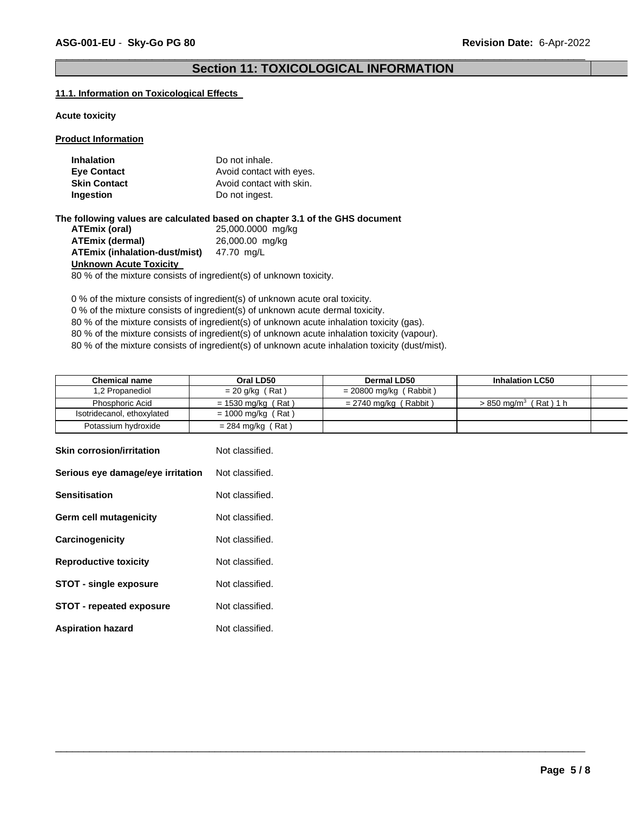# \_\_\_\_\_\_\_\_\_\_\_\_\_\_\_\_\_\_\_\_\_\_\_\_\_\_\_\_\_\_\_\_\_\_\_\_\_\_\_\_\_\_\_\_\_\_\_\_\_\_\_\_\_\_\_\_\_\_\_\_\_\_\_\_\_\_\_\_\_\_\_\_\_\_\_\_\_\_\_\_\_\_\_\_\_\_\_\_\_\_\_\_\_ **Section 11: TOXICOLOGICAL INFORMATION**

#### **11.1. Information on Toxicological Effects**

#### **Acute toxicity**

#### **Product Information**

| <b>Inhalation</b>   | Do not inhale.           |
|---------------------|--------------------------|
| <b>Eye Contact</b>  | Avoid contact with eyes. |
| <b>Skin Contact</b> | Avoid contact with skin. |
| Ingestion           | Do not ingest.           |

**The following values are calculated based on chapter 3.1 of the GHS document ATEmix (oral)** 25,000.0000 mg/kg **ATEmix (dermal)** 26,000.00 mg/kg **ATEmix (inhalation-dust/mist)** 47.70 mg/L **Unknown Acute Toxicity** 

80 % of the mixture consists of ingredient(s) of unknown toxicity.

0 % of the mixture consists of ingredient(s) of unknown acute oral toxicity.

0 % of the mixture consists of ingredient(s) of unknown acute dermal toxicity.

80 % of the mixture consists of ingredient(s) of unknown acute inhalation toxicity (gas).

80 % of the mixture consists of ingredient(s) of unknown acute inhalation toxicity (vapour).

80 % of the mixture consists of ingredient(s) of unknown acute inhalation toxicity (dust/mist).

| <b>Chemical name</b>       | Oral LD50            | Dermal LD50              | <b>Inhalation LC50</b>               |  |
|----------------------------|----------------------|--------------------------|--------------------------------------|--|
| 1,2 Propanediol            | $= 20$ g/kg (Rat)    | $= 20800$ mg/kg (Rabbit) |                                      |  |
| Phosphoric Acid            | $= 1530$ mg/kg (Rat) | $= 2740$ mg/kg (Rabbit)  | (Rat)1 h<br>$>850$ ma/m <sup>3</sup> |  |
| Isotridecanol, ethoxylated | = 1000 mg/kg (Rat)   |                          |                                      |  |
| Potassium hydroxide        | = 284 mg/kg (Rat)    |                          |                                      |  |

| <b>Skin corrosion/irritation</b>  | Not classified. |
|-----------------------------------|-----------------|
| Serious eye damage/eye irritation | Not classified. |
| <b>Sensitisation</b>              | Not classified. |
| Germ cell mutagenicity            | Not classified. |
| Carcinogenicity                   | Not classified. |
| <b>Reproductive toxicity</b>      | Not classified. |
| <b>STOT - single exposure</b>     | Not classified. |
| <b>STOT - repeated exposure</b>   | Not classified. |
| <b>Aspiration hazard</b>          | Not classified. |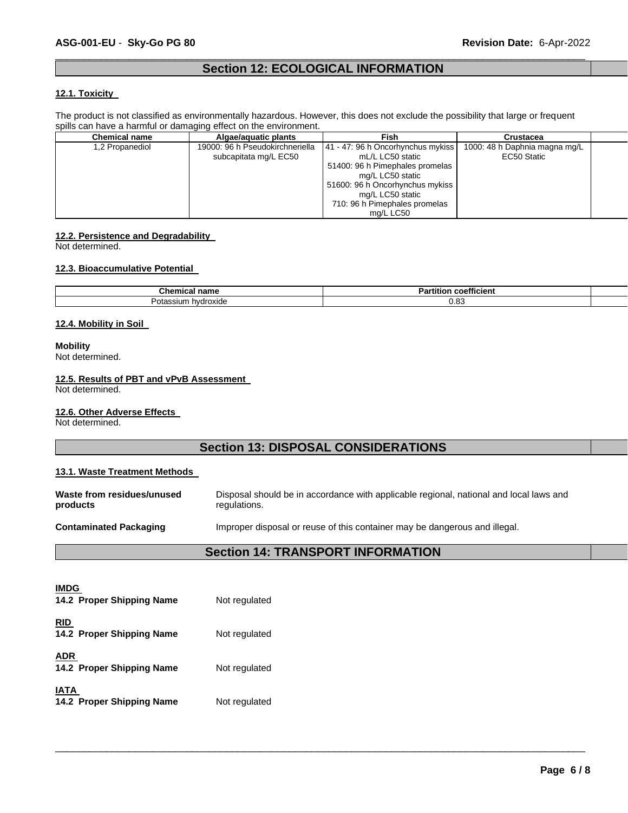# \_\_\_\_\_\_\_\_\_\_\_\_\_\_\_\_\_\_\_\_\_\_\_\_\_\_\_\_\_\_\_\_\_\_\_\_\_\_\_\_\_\_\_\_\_\_\_\_\_\_\_\_\_\_\_\_\_\_\_\_\_\_\_\_\_\_\_\_\_\_\_\_\_\_\_\_\_\_\_\_\_\_\_\_\_\_\_\_\_\_\_\_\_ **Section 12: ECOLOGICAL INFORMATION**

#### **12.1. Toxicity**

The product is not classified as environmentally hazardous. However, this does not exclude the possibility that large or frequent spills can have a harmful or damaging effect on the environment.

| <b>Chemical name</b> | Algae/aguatic plants                                     | Fish                                                                                                                                                                                                              | <b>Crustacea</b>                             |  |
|----------------------|----------------------------------------------------------|-------------------------------------------------------------------------------------------------------------------------------------------------------------------------------------------------------------------|----------------------------------------------|--|
| 1,2 Propanediol      | 19000: 96 h Pseudokirchneriella<br>subcapitata mg/L EC50 | 41 - 47: 96 h Oncorhynchus mykiss<br>mL/L LC50 static<br>51400: 96 h Pimephales promelas<br>mg/L LC50 static<br>51600: 96 h Oncorhynchus mykiss<br>mg/L LC50 static<br>710: 96 h Pimephales promelas<br>ma/L LC50 | 1000: 48 h Daphnia magna mg/L<br>EC50 Static |  |

#### **12.2. Persistence and Degradability**

Not determined.

#### **12.3. Bioaccumulative Potential**

| Chem<br>' nam⊾<br>emıcal                          | .<br>coefficient<br>הכ<br>artition' |  |
|---------------------------------------------------|-------------------------------------|--|
| nvdroxide<br>otassıum<br>$\overline{\phantom{a}}$ | ററ<br>U.OJ                          |  |

#### **12.4. Mobility in Soil**

#### **Mobility**

Not determined.

#### **12.5. Results of PBT and vPvB Assessment**

Not determined.

#### **12.6. Other Adverse Effects**

Not determined.

# **Section 13: DISPOSAL CONSIDERATIONS**

#### **13.1. Waste Treatment Methods**

| Waste from residues/unused    | Disposal should be in accordance with applicable regional, national and local laws and |
|-------------------------------|----------------------------------------------------------------------------------------|
| products                      | regulations.                                                                           |
| <b>Contaminated Packaging</b> | Improper disposal or reuse of this container may be dangerous and illegal.             |

# **Section 14: TRANSPORT INFORMATION**

| <b>IMDG</b><br>14.2 Proper Shipping Name | Not regulated |
|------------------------------------------|---------------|
| <b>RID</b><br>14.2 Proper Shipping Name  | Not regulated |
| <b>ADR</b><br>14.2 Proper Shipping Name  | Not regulated |
| <b>IATA</b><br>14.2 Proper Shipping Name | Not regulated |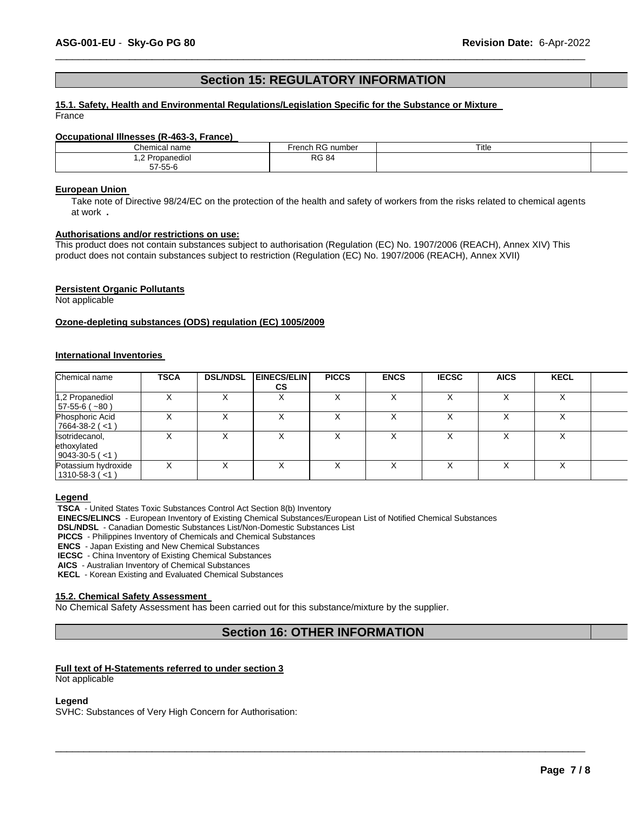# **Section 15: REGULATORY INFORMATION**

\_\_\_\_\_\_\_\_\_\_\_\_\_\_\_\_\_\_\_\_\_\_\_\_\_\_\_\_\_\_\_\_\_\_\_\_\_\_\_\_\_\_\_\_\_\_\_\_\_\_\_\_\_\_\_\_\_\_\_\_\_\_\_\_\_\_\_\_\_\_\_\_\_\_\_\_\_\_\_\_\_\_\_\_\_\_\_\_\_\_\_\_\_

#### **15.1. Safety, Health and Environmental Regulations/Legislation Specific for the Substance or Mixture**  France

#### **Occupational Illnesses (R-463-3, France)**

| Chemical<br>name                                                        | $\overline{\phantom{a}}$<br>number<br>renci | $\overline{\phantom{a}}$<br>Title |  |
|-------------------------------------------------------------------------|---------------------------------------------|-----------------------------------|--|
| nane<br>l Jr<br>nediol .<br>. . <u>. .</u><br>.<br>$-7$<br>$- - -$<br>़ | <b>RG 84</b><br>____                        |                                   |  |
| 7-55-6<br>$\cdot$                                                       |                                             |                                   |  |

#### **European Union**

Take note of Directive 98/24/EC on the protection of the health and safety of workers from the risks related to chemical agents at work **.** 

# **Authorisations and/or restrictions on use:**

This product does not contain substances subject to authorisation (Regulation (EC) No. 1907/2006 (REACH), Annex XIV) This product does not contain substances subject to restriction (Regulation (EC) No. 1907/2006 (REACH), Annex XVII)

#### **Persistent Organic Pollutants**

Not applicable

#### **Ozone-depleting substances (ODS) regulation (EC) 1005/2009**

#### **International Inventories**

| Chemical name                                          | <b>TSCA</b> | <b>DSL/NDSL</b> | <b>EINECS/ELIN</b><br><b>CS</b> | <b>PICCS</b> | <b>ENCS</b>  | <b>IECSC</b> | <b>AICS</b>  | <b>KECL</b> |  |
|--------------------------------------------------------|-------------|-----------------|---------------------------------|--------------|--------------|--------------|--------------|-------------|--|
| 1,2 Propanediol<br>$57-55-6(-80)$                      |             |                 |                                 |              |              |              |              |             |  |
| Phosphoric Acid<br>$7664-38-2$ (<1)                    |             | x               | v                               |              | $\checkmark$ |              | $\checkmark$ |             |  |
| Isotridecanol,<br>ethoxylated<br>$9043 - 30 - 5 (< 1)$ |             |                 |                                 |              |              |              |              |             |  |
| Potassium hydroxide<br>$1310 - 58 - 3 (< 1)$           |             |                 |                                 |              |              |              |              |             |  |

#### **Legend**

**TSCA** - United States Toxic Substances Control Act Section 8(b) Inventory

**EINECS/ELINCS** - European Inventory of Existing Chemical Substances/European List of Notified Chemical Substances

**DSL/NDSL** - Canadian Domestic Substances List/Non-Domestic Substances List

**PICCS** - Philippines Inventory of Chemicals and Chemical Substances

**ENCS** - Japan Existing and New Chemical Substances

**IECSC** - China Inventory of Existing Chemical Substances

**AICS** - Australian Inventory of Chemical Substances

**KECL** - Korean Existing and Evaluated Chemical Substances

#### **15.2. Chemical Safety Assessment**

No Chemical Safety Assessment has been carried out for this substance/mixture by the supplier.

# **Section 16: OTHER INFORMATION**

\_\_\_\_\_\_\_\_\_\_\_\_\_\_\_\_\_\_\_\_\_\_\_\_\_\_\_\_\_\_\_\_\_\_\_\_\_\_\_\_\_\_\_\_\_\_\_\_\_\_\_\_\_\_\_\_\_\_\_\_\_\_\_\_\_\_\_\_\_\_\_\_\_\_\_\_\_\_\_\_\_\_\_\_\_\_\_\_\_\_\_\_\_

#### **Full text of H-Statements referred to under section 3**

Not applicable

#### **Legend**

SVHC: Substances of Very High Concern for Authorisation: